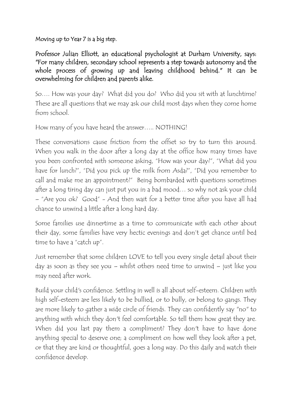Moving up to Year 7 is a big step.

Professor Julian Elliott, an educational psychologist at Durham University, says: "For many children, secondary school represents a step towards autonomy and the whole process of growing up and leaving childhood behind." It can be overwhelming for children and parents alike.

So…. How was your day? What did you do? Who did you sit with at lunchtime? These are all questions that we may ask our child most days when they come home from school.

How many of you have heard the answer….. NOTHING!

These conversations cause friction from the offset so try to turn this around. When you walk in the door after a long day at the office how many times have you been confronted with someone asking, "How was your day?", "What did you have for lunch?", "Did you pick up the milk from Asda?", "Did you remember to call and make me an appointment?" Being bombarded with questions sometimes after a long tiring day can just put you in a bad mood… so why not ask your child – "Are you ok? Good" - And then wait for a better time after you have all had chance to unwind a little after a long hard day.

Some families use dinnertime as a time to communicate with each other about their day, some families have very hectic evenings and don't get chance until bed time to have a "catch up".

Just remember that some children LOVE to tell you every single detail about their day as soon as they see you – whilst others need time to unwind – just like you may need after work.

Build your child's confidence. Settling in well is all about self-esteem. Children with high self-esteem are less likely to be bullied, or to bully, or belong to gangs. They are more likely to gather a wide circle of friends. They can confidently say "no" to anything with which they don't feel comfortable. So tell them how great they are. When did you last pay them a compliment? They don't have to have done anything special to deserve one; a compliment on how well they look after a pet, or that they are kind or thoughtful, goes a long way. Do this daily and watch their confidence develop.